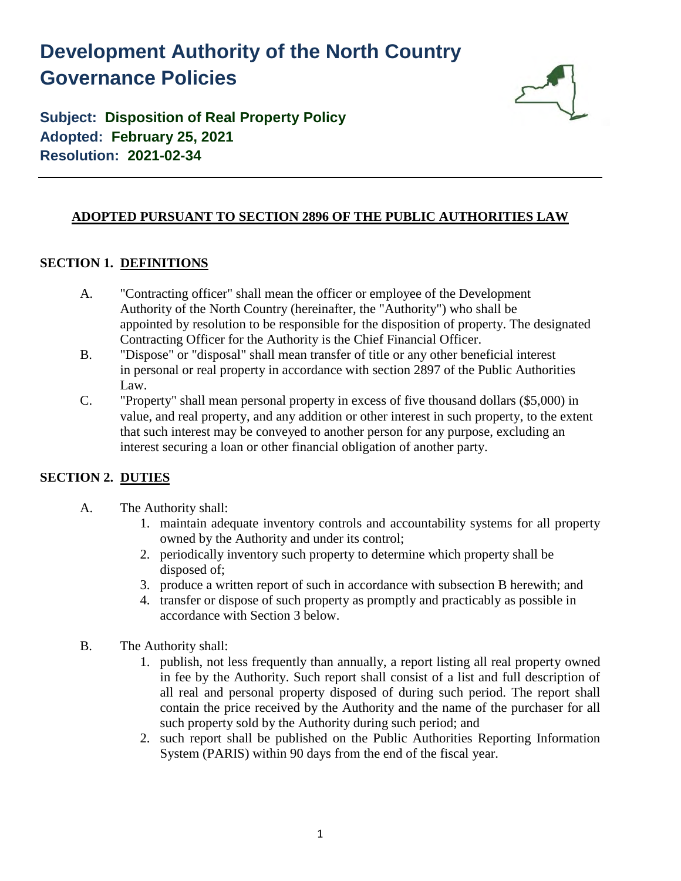# **Development Authority of the North Country Governance Policies**



**Subject: Disposition of Real Property Policy Adopted: February 25, 2021 Resolution: 2021-02-34**

## **ADOPTED PURSUANT TO SECTION 2896 OF THE PUBLIC AUTHORITIES LAW**

#### **SECTION 1. DEFINITIONS**

- A. "Contracting officer" shall mean the officer or employee of the Development Authority of the North Country (hereinafter, the "Authority") who shall be appointed by resolution to be responsible for the disposition of property. The designated Contracting Officer for the Authority is the Chief Financial Officer.
- B. "Dispose" or "disposal" shall mean transfer of title or any other beneficial interest in personal or real property in accordance with section 2897 of the Public Authorities Law.
- C. "Property" shall mean personal property in excess of five thousand dollars (\$5,000) in value, and real property, and any addition or other interest in such property, to the extent that such interest may be conveyed to another person for any purpose, excluding an interest securing a loan or other financial obligation of another party.

# **SECTION 2. DUTIES**

- A. The Authority shall:
	- 1. maintain adequate inventory controls and accountability systems for all property owned by the Authority and under its control;
	- 2. periodically inventory such property to determine which property shall be disposed of;
	- 3. produce a written report of such in accordance with subsection B herewith; and
	- 4. transfer or dispose of such property as promptly and practicably as possible in accordance with Section 3 below.
- B. The Authority shall:
	- 1. publish, not less frequently than annually, a report listing all real property owned in fee by the Authority. Such report shall consist of a list and full description of all real and personal property disposed of during such period. The report shall contain the price received by the Authority and the name of the purchaser for all such property sold by the Authority during such period; and
	- 2. such report shall be published on the Public Authorities Reporting Information System (PARIS) within 90 days from the end of the fiscal year.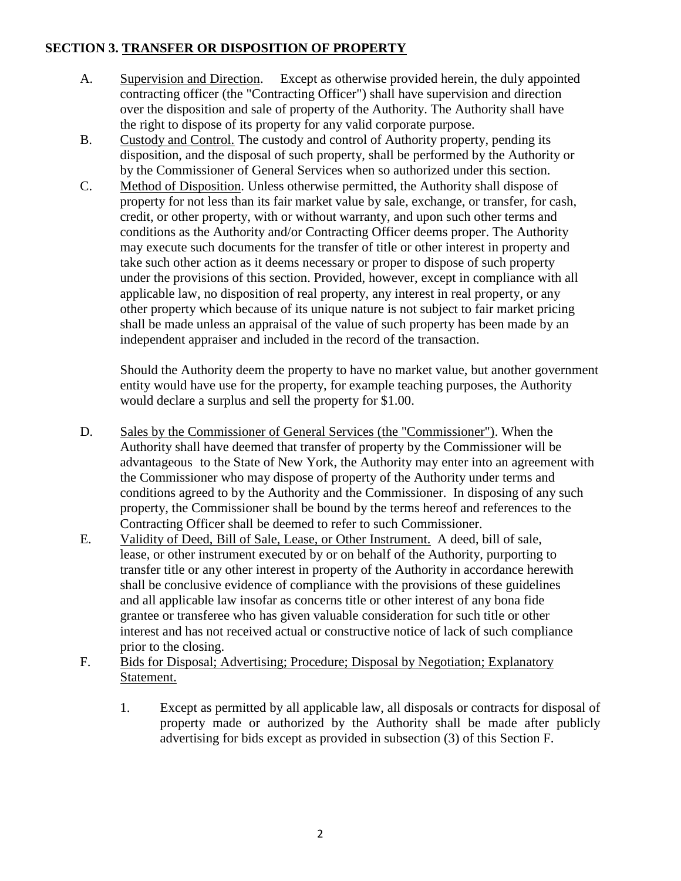## **SECTION 3. TRANSFER OR DISPOSITION OF PROPERTY**

- A. Supervision and Direction. Except as otherwise provided herein, the duly appointed contracting officer (the "Contracting Officer") shall have supervision and direction over the disposition and sale of property of the Authority. The Authority shall have the right to dispose of its property for any valid corporate purpose.
- B. Custody and Control. The custody and control of Authority property, pending its disposition, and the disposal of such property, shall be performed by the Authority or by the Commissioner of General Services when so authorized under this section.
- C. Method of Disposition. Unless otherwise permitted, the Authority shall dispose of property for not less than its fair market value by sale, exchange, or transfer, for cash, credit, or other property, with or without warranty, and upon such other terms and conditions as the Authority and/or Contracting Officer deems proper. The Authority may execute such documents for the transfer of title or other interest in property and take such other action as it deems necessary or proper to dispose of such property under the provisions of this section. Provided, however, except in compliance with all applicable law, no disposition of real property, any interest in real property, or any other property which because of its unique nature is not subject to fair market pricing shall be made unless an appraisal of the value of such property has been made by an independent appraiser and included in the record of the transaction.

Should the Authority deem the property to have no market value, but another government entity would have use for the property, for example teaching purposes, the Authority would declare a surplus and sell the property for \$1.00.

- D. Sales by the Commissioner of General Services (the "Commissioner"). When the Authority shall have deemed that transfer of property by the Commissioner will be advantageous to the State of New York, the Authority may enter into an agreement with the Commissioner who may dispose of property of the Authority under terms and conditions agreed to by the Authority and the Commissioner. In disposing of any such property, the Commissioner shall be bound by the terms hereof and references to the Contracting Officer shall be deemed to refer to such Commissioner.
- E. Validity of Deed, Bill of Sale, Lease, or Other Instrument. A deed, bill of sale, lease, or other instrument executed by or on behalf of the Authority, purporting to transfer title or any other interest in property of the Authority in accordance herewith shall be conclusive evidence of compliance with the provisions of these guidelines and all applicable law insofar as concerns title or other interest of any bona fide grantee or transferee who has given valuable consideration for such title or other interest and has not received actual or constructive notice of lack of such compliance prior to the closing.
- F. Bids for Disposal; Advertising; Procedure; Disposal by Negotiation; Explanatory Statement.
	- 1. Except as permitted by all applicable law, all disposals or contracts for disposal of property made or authorized by the Authority shall be made after publicly advertising for bids except as provided in subsection (3) of this Section F.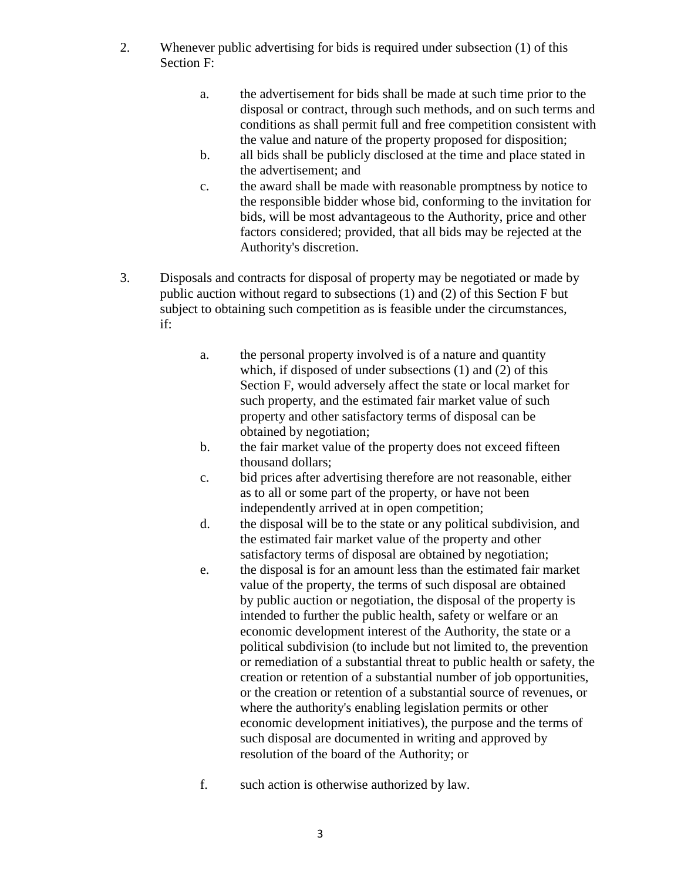- 2. Whenever public advertising for bids is required under subsection (1) of this Section F:
	- a. the advertisement for bids shall be made at such time prior to the disposal or contract, through such methods, and on such terms and conditions as shall permit full and free competition consistent with the value and nature of the property proposed for disposition;
	- b. all bids shall be publicly disclosed at the time and place stated in the advertisement; and
	- c. the award shall be made with reasonable promptness by notice to the responsible bidder whose bid, conforming to the invitation for bids, will be most advantageous to the Authority, price and other factors considered; provided, that all bids may be rejected at the Authority's discretion.
- 3. Disposals and contracts for disposal of property may be negotiated or made by public auction without regard to subsections (1) and (2) of this Section F but subject to obtaining such competition as is feasible under the circumstances, if:
	- a. the personal property involved is of a nature and quantity which, if disposed of under subsections (1) and (2) of this Section F, would adversely affect the state or local market for such property, and the estimated fair market value of such property and other satisfactory terms of disposal can be obtained by negotiation;
	- b. the fair market value of the property does not exceed fifteen thousand dollars;
	- c. bid prices after advertising therefore are not reasonable, either as to all or some part of the property, or have not been independently arrived at in open competition;
	- d. the disposal will be to the state or any political subdivision, and the estimated fair market value of the property and other satisfactory terms of disposal are obtained by negotiation;
	- e. the disposal is for an amount less than the estimated fair market value of the property, the terms of such disposal are obtained by public auction or negotiation, the disposal of the property is intended to further the public health, safety or welfare or an economic development interest of the Authority, the state or a political subdivision (to include but not limited to, the prevention or remediation of a substantial threat to public health or safety, the creation or retention of a substantial number of job opportunities, or the creation or retention of a substantial source of revenues, or where the authority's enabling legislation permits or other economic development initiatives), the purpose and the terms of such disposal are documented in writing and approved by resolution of the board of the Authority; or
	- f. such action is otherwise authorized by law.